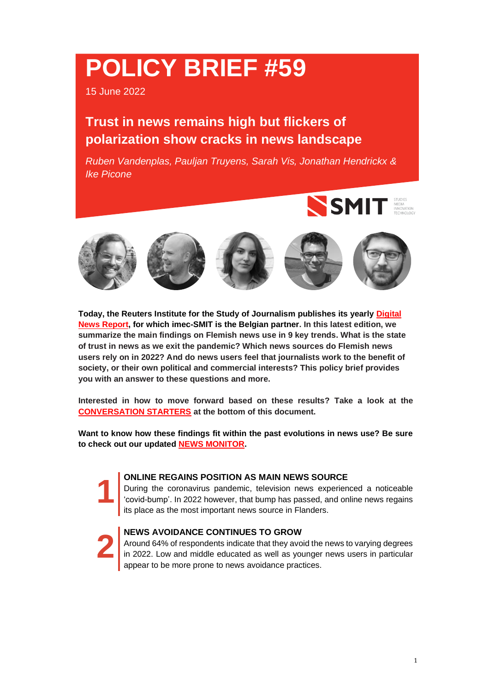# **POLICY BRIEF #59**

15 June 2022

# **Trust in news remains high but flickers of polarization show cracks in news landscape**

*Ruben Vandenplas, Pauljan Truyens, Sarah Vis, Jonathan Hendrickx & Ike Picone*





**Today, the Reuters Institute for the Study of Journalism publishes its yearly [Digital](http://www.digitalnewsreport.org/)  [News Report,](http://www.digitalnewsreport.org/) for which imec-SMIT is the Belgian partner. In this latest edition, we summarize the main findings on Flemish news use in 9 key trends. What is the state of trust in news as we exit the pandemic? Which news sources do Flemish news users rely on in 2022? And do news users feel that journalists work to the benefit of society, or their own political and commercial interests? This policy brief provides you with an answer to these questions and more.**

**Interested in how to move forward based on these results? Take a look at the [CONVERSATION STARTERS](#page-8-0) at the bottom of this document.**

**Want to know how these findings fit within the past evolutions in news use? Be sure to check out our updated [NEWS MONITOR.](http://www.nieuwsgebruik.be/monitor)**

#### **ONLINE REGAINS POSITION AS MAIN NEWS SOURCE**

During the coronavirus pandemic, television news experienced a noticeable 'covid-bump'. In 2022 however, that bump has passed, and online news regains its place as the most important news source in Flanders.

# **[2](#page-2-0)**

**[1](#page-1-0)**

#### **NEWS AVOIDANCE CONTINUES TO GROW**

Around 64% of respondents indicate that they avoid the news to varying degrees in 2022. Low and middle educated as well as younger news users in particular appear to be more prone to news avoidance practices.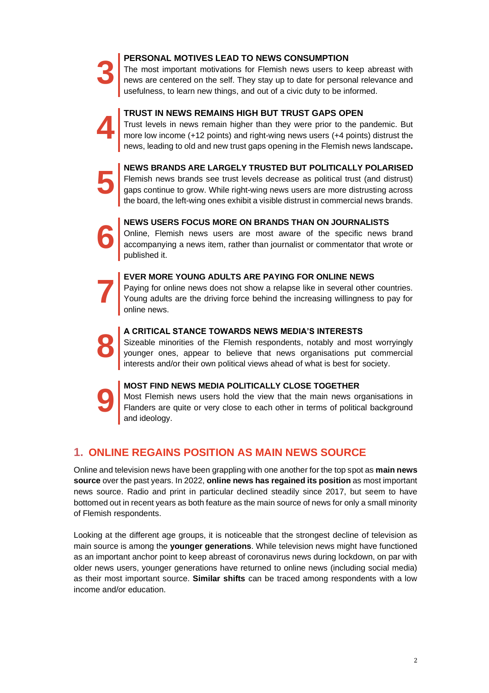# **[3](#page-3-0)**

**[4](#page-3-1)**

**[5](#page-4-0)**

#### **PERSONAL MOTIVES LEAD TO NEWS CONSUMPTION**

The most important motivations for Flemish news users to keep abreast with news are centered on the self. They stay up to date for personal relevance and usefulness, to learn new things, and out of a civic duty to be informed.

# **TRUST IN NEWS REMAINS HIGH BUT TRUST GAPS OPEN**

Trust levels in news remain higher than they were prior to the pandemic. But more low income (+12 points) and right-wing news users (+4 points) distrust the news, leading to old and new trust gaps opening in the Flemish news landscape**.**

**NEWS BRANDS ARE LARGELY TRUSTED BUT POLITICALLY POLARISED** Flemish news brands see trust levels decrease as political trust (and distrust) gaps continue to grow. While right-wing news users are more distrusting across the board, the left-wing ones exhibit a visible distrust in commercial news brands.



# **NEWS USERS FOCUS MORE ON BRANDS THAN ON JOURNALISTS**

Online, Flemish news users are most aware of the specific news brand accompanying a news item, rather than journalist or commentator that wrote or published it.

#### **EVER MORE YOUNG ADULTS ARE PAYING FOR ONLINE NEWS**

Paying for online news does not show a relapse like in several other countries. Young adults are the driving force behind the increasing willingness to pay for online news.



**[7](#page-6-0)**

#### **A CRITICAL STANCE TOWARDS NEWS MEDIA'S INTERESTS**

Sizeable minorities of the Flemish respondents, notably and most worryingly younger ones, appear to believe that news organisations put commercial interests and/or their own political views ahead of what is best for society.



#### **MOST FIND NEWS MEDIA POLITICALLY CLOSE TOGETHER**

Most Flemish news users hold the view that the main news organisations in Flanders are quite or very close to each other in terms of political background and ideology.

# <span id="page-1-0"></span>**1. ONLINE REGAINS POSITION AS MAIN NEWS SOURCE**

Online and television news have been grappling with one another for the top spot as **main news source** over the past years. In 2022, **online news has regained its position** as most important news source. Radio and print in particular declined steadily since 2017, but seem to have bottomed out in recent years as both feature as the main source of news for only a small minority of Flemish respondents.

Looking at the different age groups, it is noticeable that the strongest decline of television as main source is among the **younger generations**. While television news might have functioned as an important anchor point to keep abreast of coronavirus news during lockdown, on par with older news users, younger generations have returned to online news (including social media) as their most important source. **Similar shifts** can be traced among respondents with a low income and/or education.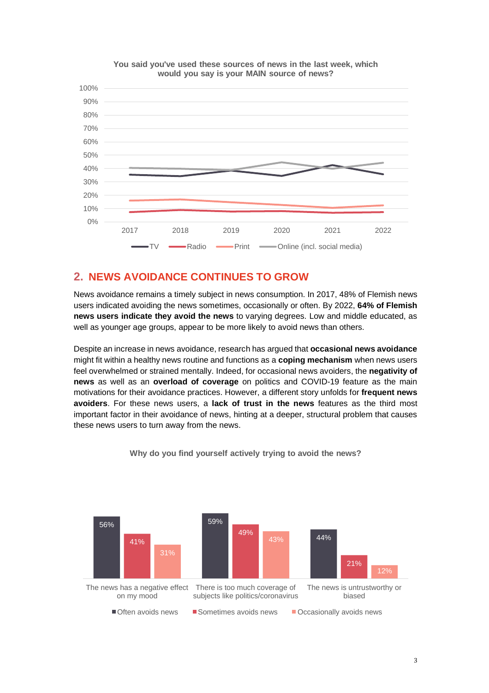

**You said you've used these sources of news in the last week, which would you say is your MAIN source of news?**

## <span id="page-2-0"></span>**2. NEWS AVOIDANCE CONTINUES TO GROW**

News avoidance remains a timely subject in news consumption. In 2017, 48% of Flemish news users indicated avoiding the news sometimes, occasionally or often. By 2022, **64% of Flemish news users indicate they avoid the news** to varying degrees. Low and middle educated, as well as younger age groups, appear to be more likely to avoid news than others.

Despite an increase in news avoidance, research has argued that **occasional news avoidance** might fit within a healthy news routine and functions as a **coping mechanism** when news users feel overwhelmed or strained mentally. Indeed, for occasional news avoiders, the **negativity of news** as well as an **overload of coverage** on politics and COVID-19 feature as the main motivations for their avoidance practices. However, a different story unfolds for **frequent news avoiders**. For these news users, a **lack of trust in the news** features as the third most important factor in their avoidance of news, hinting at a deeper, structural problem that causes these news users to turn away from the news.



**Why do you find yourself actively trying to avoid the news?**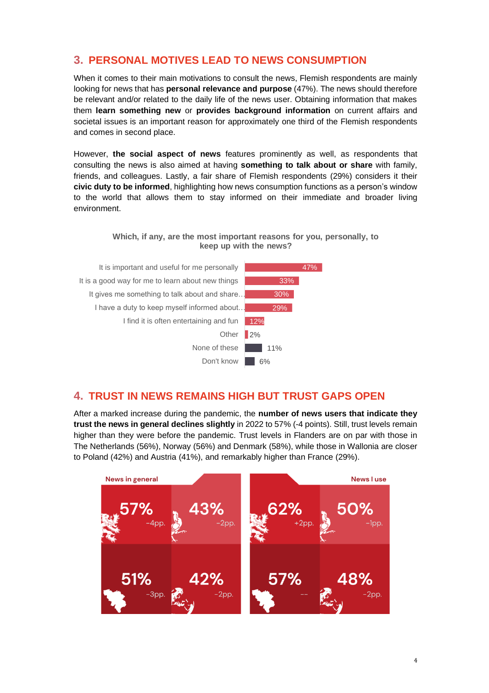### <span id="page-3-0"></span>**3. PERSONAL MOTIVES LEAD TO NEWS CONSUMPTION**

When it comes to their main motivations to consult the news, Flemish respondents are mainly looking for news that has **personal relevance and purpose** (47%). The news should therefore be relevant and/or related to the daily life of the news user. Obtaining information that makes them **learn something new** or **provides background information** on current affairs and societal issues is an important reason for approximately one third of the Flemish respondents and comes in second place.

However, **the social aspect of news** features prominently as well, as respondents that consulting the news is also aimed at having **something to talk about or share** with family, friends, and colleagues. Lastly, a fair share of Flemish respondents (29%) considers it their **civic duty to be informed**, highlighting how news consumption functions as a person's window to the world that allows them to stay informed on their immediate and broader living environment.

> **Which, if any, are the most important reasons for you, personally, to keep up with the news?**



#### <span id="page-3-1"></span>**4. TRUST IN NEWS REMAINS HIGH BUT TRUST GAPS OPEN**

After a marked increase during the pandemic, the **number of news users that indicate they trust the news in general declines slightly** in 2022 to 57% (-4 points). Still, trust levels remain higher than they were before the pandemic. Trust levels in Flanders are on par with those in The Netherlands (56%), Norway (56%) and Denmark (58%), while those in Wallonia are closer to Poland (42%) and Austria (41%), and remarkably higher than France (29%).

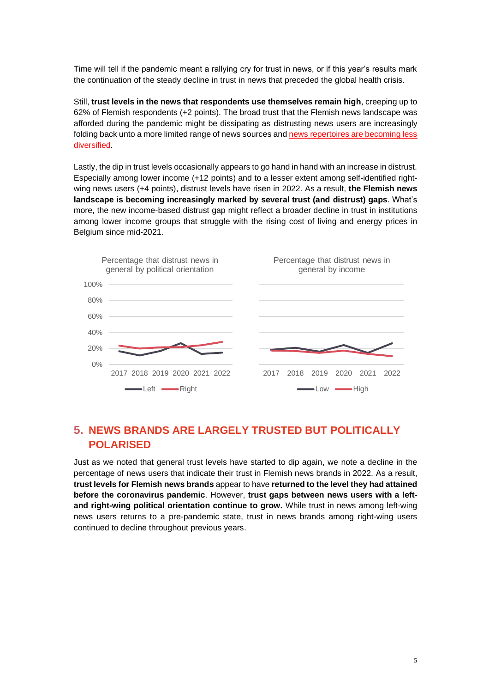Time will tell if the pandemic meant a rallying cry for trust in news, or if this year's results mark the continuation of the steady decline in trust in news that preceded the global health crisis.

Still, **trust levels in the news that respondents use themselves remain high**, creeping up to 62% of Flemish respondents (+2 points). The broad trust that the Flemish news landscape was afforded during the pandemic might be dissipating as distrusting news users are increasingly folding back unto a more limited range of news sources and [news repertoires are becoming less](http://www.nieuwsgebruik.be/opinie-analyse/analyse-2022-nieuwsrepertoire)  [diversified.](http://www.nieuwsgebruik.be/opinie-analyse/analyse-2022-nieuwsrepertoire)

Lastly, the dip in trust levels occasionally appears to go hand in hand with an increase in distrust. Especially among lower income (+12 points) and to a lesser extent among self-identified rightwing news users (+4 points), distrust levels have risen in 2022. As a result, **the Flemish news landscape is becoming increasingly marked by several trust (and distrust) gaps**. What's more, the new income-based distrust gap might reflect a broader decline in trust in institutions among lower income groups that struggle with the rising cost of living and energy prices in Belgium since mid-2021.



## <span id="page-4-0"></span>**5. NEWS BRANDS ARE LARGELY TRUSTED BUT POLITICALLY POLARISED**

Just as we noted that general trust levels have started to dip again, we note a decline in the percentage of news users that indicate their trust in Flemish news brands in 2022. As a result, **trust levels for Flemish news brands** appear to have **returned to the level they had attained before the coronavirus pandemic**. However, **trust gaps between news users with a leftand right-wing political orientation continue to grow.** While trust in news among left-wing news users returns to a pre-pandemic state, trust in news brands among right-wing users continued to decline throughout previous years.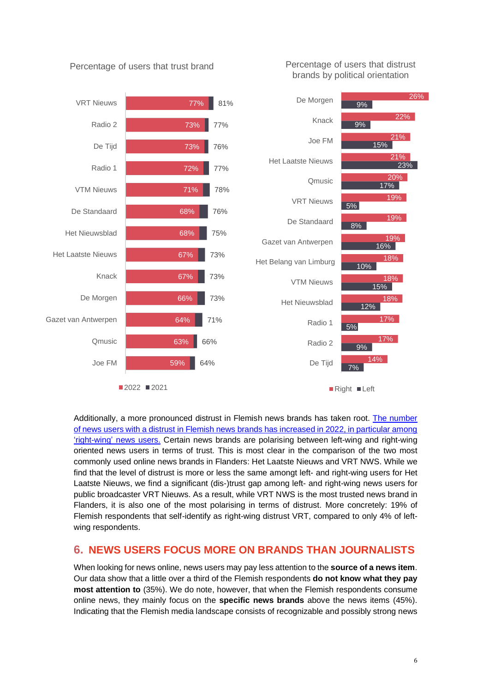

#### Percentage of users that trust brand

Percentage of users that distrust brands by political orientation

Additionally, a more pronounced distrust in Flemish news brands has taken root. [The number](https://www.nieuwsgebruik.be/monitor/welke-nieuwsmerken-wantrouwen-vlamingen-het-meest) of news users with a distrust in Flemish news [brands has increased in 2022, in particular among](https://www.nieuwsgebruik.be/monitor/welke-nieuwsmerken-wantrouwen-vlamingen-het-meest)  ['right-wing'](https://www.nieuwsgebruik.be/monitor/welke-nieuwsmerken-wantrouwen-vlamingen-het-meest) news users. Certain news brands are polarising between left-wing and right-wing oriented news users in terms of trust. This is most clear in the comparison of the two most commonly used online news brands in Flanders: Het Laatste Nieuws and VRT NWS. While we find that the level of distrust is more or less the same amongt left- and right-wing users for Het Laatste Nieuws, we find a significant (dis-)trust gap among left- and right-wing news users for public broadcaster VRT Nieuws. As a result, while VRT NWS is the most trusted news brand in Flanders, it is also one of the most polarising in terms of distrust. More concretely: 19% of Flemish respondents that self-identify as right-wing distrust VRT, compared to only 4% of leftwing respondents.

#### <span id="page-5-0"></span>**6. NEWS USERS FOCUS MORE ON BRANDS THAN JOURNALISTS**

When looking for news online, news users may pay less attention to the **source of a news item**. Our data show that a little over a third of the Flemish respondents **do not know what they pay most attention to** (35%). We do note, however, that when the Flemish respondents consume online news, they mainly focus on the **specific news brands** above the news items (45%). Indicating that the Flemish media landscape consists of recognizable and possibly strong news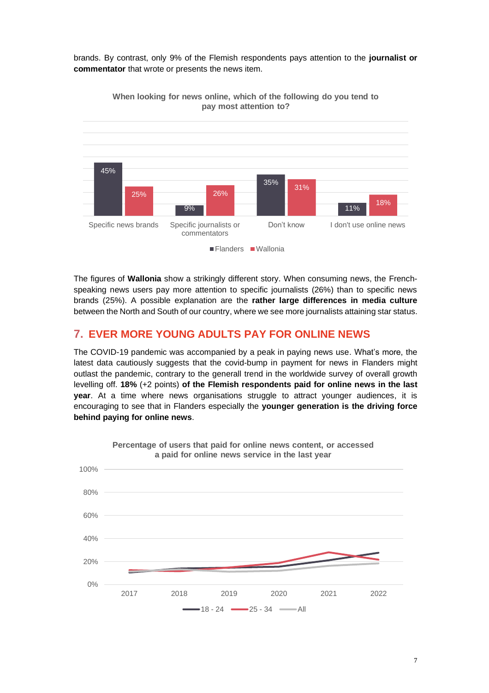brands. By contrast, only 9% of the Flemish respondents pays attention to the **journalist or commentator** that wrote or presents the news item.



**When looking for news online, which of the following do you tend to pay most attention to?** 

The figures of **Wallonia** show a strikingly different story. When consuming news, the Frenchspeaking news users pay more attention to specific journalists (26%) than to specific news brands (25%). A possible explanation are the **rather large differences in media culture** between the North and South of our country, where we see more journalists attaining star status.

#### <span id="page-6-0"></span>**7. EVER MORE YOUNG ADULTS PAY FOR ONLINE NEWS**

The COVID-19 pandemic was accompanied by a peak in paying news use. What's more, the latest data cautiously suggests that the covid-bump in payment for news in Flanders might outlast the pandemic, contrary to the generall trend in the worldwide survey of overall growth levelling off. **18%** (+2 points) **of the Flemish respondents paid for online news in the last year**. At a time where news organisations struggle to attract younger audiences, it is encouraging to see that in Flanders especially the **younger generation is the driving force behind paying for online news**.



**Percentage of users that paid for online news content, or accessed a paid for online news service in the last year**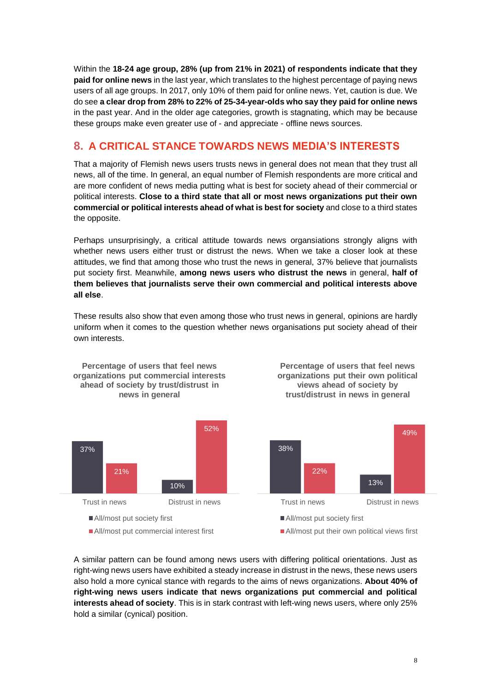Within the **18-24 age group, 28% (up from 21% in 2021) of respondents indicate that they paid for online news** in the last year, which translates to the highest percentage of paying news users of all age groups. In 2017, only 10% of them paid for online news. Yet, caution is due. We do see **a clear drop from 28% to 22% of 25-34-year-olds who say they paid for online news** in the past year. And in the older age categories, growth is stagnating, which may be because these groups make even greater use of - and appreciate - offline news sources.

# <span id="page-7-0"></span>**8. A CRITICAL STANCE TOWARDS NEWS MEDIA'S INTERESTS**

That a majority of Flemish news users trusts news in general does not mean that they trust all news, all of the time. In general, an equal number of Flemish respondents are more critical and are more confident of news media putting what is best for society ahead of their commercial or political interests. **Close to a third state that all or most news organizations put their own commercial or political interests ahead of what is best for society** and close to a third states the opposite.

Perhaps unsurprisingly, a critical attitude towards news organsiations strongly aligns with whether news users either trust or distrust the news. When we take a closer look at these attitudes, we find that among those who trust the news in general, 37% believe that journalists put society first. Meanwhile, **among news users who distrust the news** in general, **half of them believes that journalists serve their own commercial and political interests above all else**.

These results also show that even among those who trust news in general, opinions are hardly uniform when it comes to the question whether news organisations put society ahead of their own interests.



A similar pattern can be found among news users with differing political orientations. Just as right-wing news users have exhibited a steady increase in distrust in the news, these news users also hold a more cynical stance with regards to the aims of news organizations. **About 40% of right-wing news users indicate that news organizations put commercial and political interests ahead of society**. This is in stark contrast with left-wing news users, where only 25% hold a similar (cynical) position.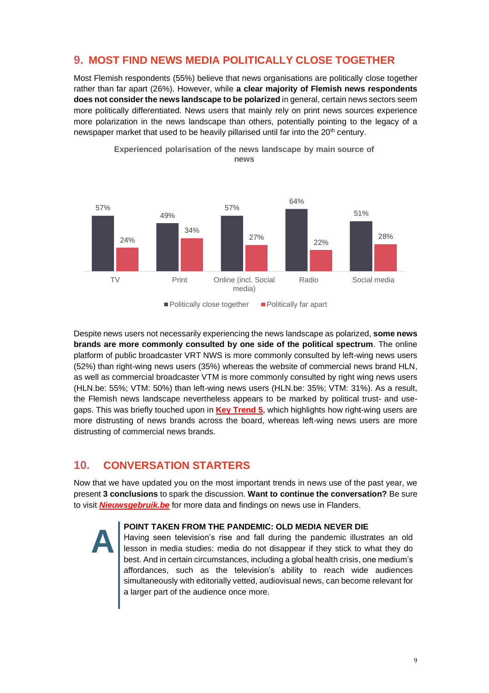#### <span id="page-8-1"></span>**9. MOST FIND NEWS MEDIA POLITICALLY CLOSE TOGETHER**

Most Flemish respondents (55%) believe that news organisations are politically close together rather than far apart (26%). However, while **a clear majority of Flemish news respondents does not consider the news landscape to be polarized** in general, certain news sectors seem more politically differentiated. News users that mainly rely on print news sources experience more polarization in the news landscape than others, potentially pointing to the legacy of a newspaper market that used to be heavily pillarised until far into the 20<sup>th</sup> century.



**Experienced polarisation of the news landscape by main source of news**

Despite news users not necessarily experiencing the news landscape as polarized, **some news brands are more commonly consulted by one side of the political spectrum**. The online platform of public broadcaster VRT NWS is more commonly consulted by left-wing news users (52%) than right-wing news users (35%) whereas the website of commercial news brand HLN, as well as commercial broadcaster VTM is more commonly consulted by right wing news users (HLN.be: 55%; VTM: 50%) than left-wing news users (HLN.be: 35%; VTM: 31%). As a result, the Flemish news landscape nevertheless appears to be marked by political trust- and usegaps. This was briefly touched upon in **[Key Trend 5](#page-4-0)**, which highlights how right-wing users are more distrusting of news brands across the board, whereas left-wing news users are more distrusting of commercial news brands.

# <span id="page-8-0"></span>**10. CONVERSATION STARTERS**

Now that we have updated you on the most important trends in news use of the past year, we present **3 conclusions** to spark the discussion. **Want to continue the conversation?** Be sure to visit *[Nieuwsgebruik.be](http://www.nieuwsgebruik.be/)* for more data and findings on news use in Flanders.



#### **POINT TAKEN FROM THE PANDEMIC: OLD MEDIA NEVER DIE**

Having seen television's rise and fall during the pandemic illustrates an old lesson in media studies: media do not disappear if they stick to what they do best. And in certain circumstances, including a global health crisis, one medium's affordances, such as the television's ability to reach wide audiences simultaneously with editorially vetted, audiovisual news, can become relevant for a larger part of the audience once more.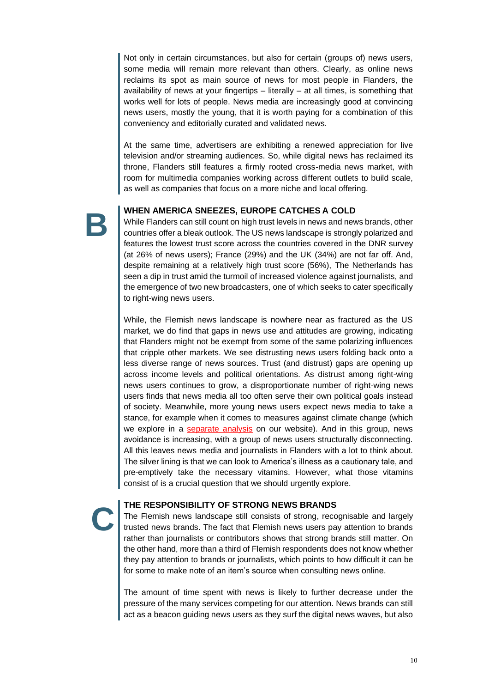Not only in certain circumstances, but also for certain (groups of) news users, some media will remain more relevant than others. Clearly, as online news reclaims its spot as main source of news for most people in Flanders, the availability of news at your fingertips  $-$  literally  $-$  at all times, is something that works well for lots of people. News media are increasingly good at convincing news users, mostly the young, that it is worth paying for a combination of this conveniency and editorially curated and validated news.

At the same time, advertisers are exhibiting a renewed appreciation for live television and/or streaming audiences. So, while digital news has reclaimed its throne, Flanders still features a firmly rooted cross-media news market, with room for multimedia companies working across different outlets to build scale, as well as companies that focus on a more niche and local offering.

**B**

**C**

#### **WHEN AMERICA SNEEZES, EUROPE CATCHES A COLD**

While Flanders can still count on high trust levels in news and news brands, other countries offer a bleak outlook. The US news landscape is strongly polarized and features the lowest trust score across the countries covered in the DNR survey (at 26% of news users); France (29%) and the UK (34%) are not far off. And, despite remaining at a relatively high trust score (56%), The Netherlands has seen a dip in trust amid the turmoil of increased violence against journalists, and the emergence of two new broadcasters, one of which seeks to cater specifically to right-wing news users.

While, the Flemish news landscape is nowhere near as fractured as the US market, we do find that gaps in news use and attitudes are growing, indicating that Flanders might not be exempt from some of the same polarizing influences that cripple other markets. We see distrusting news users folding back onto a less diverse range of news sources. Trust (and distrust) gaps are opening up across income levels and political orientations. As distrust among right-wing news users continues to grow, a disproportionate number of right-wing news users finds that news media all too often serve their own political goals instead of society. Meanwhile, more young news users expect news media to take a stance, for example when it comes to measures against climate change (which we explore in a [separate analysis](http://www.nieuwsgebruik.be/opinie-analyse/analyse-2022-klimaatverandering) on our website). And in this group, news avoidance is increasing, with a group of news users structurally disconnecting. All this leaves news media and journalists in Flanders with a lot to think about. The silver lining is that we can look to America's illness as a cautionary tale, and pre-emptively take the necessary vitamins. However, what those vitamins consist of is a crucial question that we should urgently explore.

#### **THE RESPONSIBILITY OF STRONG NEWS BRANDS**

The Flemish news landscape still consists of strong, recognisable and largely trusted news brands. The fact that Flemish news users pay attention to brands rather than journalists or contributors shows that strong brands still matter. On the other hand, more than a third of Flemish respondents does not know whether they pay attention to brands or journalists, which points to how difficult it can be for some to make note of an item's source when consulting news online.

The amount of time spent with news is likely to further decrease under the pressure of the many services competing for our attention. News brands can still act as a beacon guiding news users as they surf the digital news waves, but also